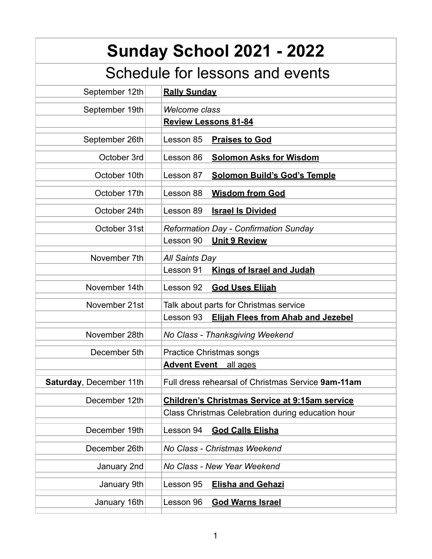| <b>Sunday School 2021 - 2022</b> |                                                        |
|----------------------------------|--------------------------------------------------------|
| Schedule for lessons and events  |                                                        |
| September 12th                   | <b>Rally Sunday</b>                                    |
| September 19th                   | <b>Welcome class</b>                                   |
|                                  | <b>Review Lessons 81-84</b>                            |
| September 26th                   | Lesson 85<br><b>Praises to God</b>                     |
| October 3rd                      | Lesson 86<br><b>Solomon Asks for Wisdom</b>            |
| October 10th                     | Lesson 87<br><b>Solomon Build's God's Temple</b>       |
| October 17th                     | <b>Wisdom from God</b><br>Lesson 88                    |
| October 24th                     | Lesson 89<br><b>Israel Is Divided</b>                  |
| October 31st                     | <b>Reformation Day - Confirmation Sunday</b>           |
|                                  | <b>Unit 9 Review</b><br>Lesson 90                      |
| November 7th                     | <b>All Saints Day</b>                                  |
|                                  | <b>Kings of Israel and Judah</b><br>Lesson 91          |
| November 14th                    | Lesson 92<br><b>God Uses Elijah</b>                    |
| November 21st                    | Talk about parts for Christmas service                 |
|                                  | <b>Elijah Flees from Ahab and Jezebel</b><br>Lesson 93 |
| November 28th                    | No Class - Thanksgiving Weekend                        |
| December 5th                     | <b>Practice Christmas songs</b>                        |
|                                  | <b>Advent Event</b><br>all ages                        |
| Saturday, December 11th          | Full dress rehearsal of Christmas Service 9am-11am     |
| December 12th                    | <b>Children's Christmas Service at 9:15am service</b>  |
|                                  | Class Christmas Celebration during education hour      |
| December 19th                    | Lesson 94<br><b>God Calls Elisha</b>                   |
| December 26th                    | No Class - Christmas Weekend                           |
| January 2nd                      | No Class - New Year Weekend                            |
| January 9th                      | Lesson 95<br><b>Elisha and Gehazi</b>                  |
| January 16th                     | <b>God Warns Israel</b><br>Lesson 96                   |